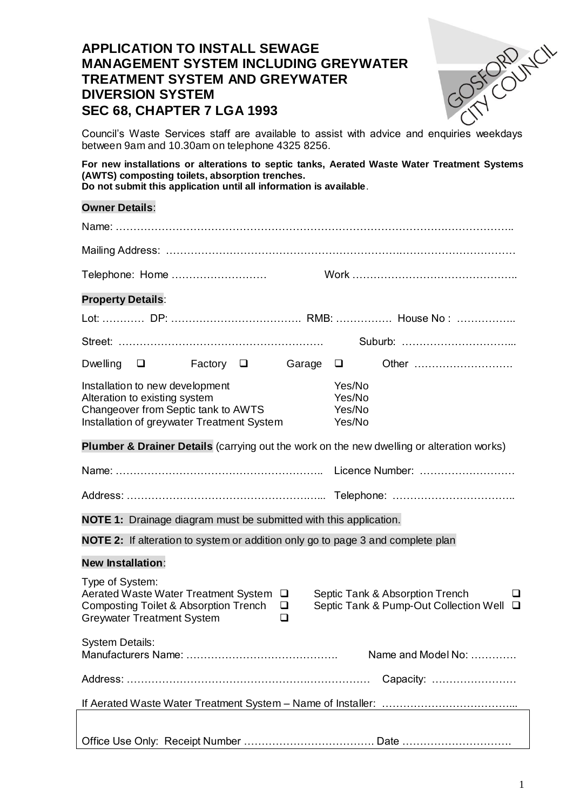# **APPLICATION TO INSTALL SEWAGE MANAGEMENT SYSTEM INCLUDING GREYWATER TREATMENT SYSTEM AND GREYWATER DIVERSION SYSTEM SEC 68, CHAPTER 7 LGA 1993**

Council's Waste Services staff are available to assist with advice and enquiries weekdays between 9am and 10.30am on telephone 4325 8256.

**For new installations or alterations to septic tanks, Aerated Waste Water Treatment Systems (AWTS) composting toilets, absorption trenches. Do not submit this application until all information is available**.

### **Owner Details**:

| <b>Property Details:</b>                                                                                                                              |                |  |                                      |  |        |                                                                                           |
|-------------------------------------------------------------------------------------------------------------------------------------------------------|----------------|--|--------------------------------------|--|--------|-------------------------------------------------------------------------------------------|
|                                                                                                                                                       |                |  |                                      |  |        |                                                                                           |
|                                                                                                                                                       |                |  |                                      |  |        |                                                                                           |
| Dwelling $\Box$                                                                                                                                       | Factory $\Box$ |  | Garage                               |  | $\Box$ | Other                                                                                     |
| Installation to new development<br>Alteration to existing system<br>Changeover from Septic tank to AWTS<br>Installation of greywater Treatment System |                |  | Yes/No<br>Yes/No<br>Yes/No<br>Yes/No |  |        |                                                                                           |
|                                                                                                                                                       |                |  |                                      |  |        | Plumber & Drainer Details (carrying out the work on the new dwelling or alteration works) |
|                                                                                                                                                       |                |  |                                      |  |        |                                                                                           |
|                                                                                                                                                       |                |  |                                      |  |        |                                                                                           |
| <b>NOTE 1:</b> Drainage diagram must be submitted with this application.                                                                              |                |  |                                      |  |        |                                                                                           |
| NOTE 2: If alteration to system or addition only go to page 3 and complete plan                                                                       |                |  |                                      |  |        |                                                                                           |
| <b>New Installation:</b>                                                                                                                              |                |  |                                      |  |        |                                                                                           |
| Type of System:<br>Aerated Waste Water Treatment System □<br>Composting Toilet & Absorption Trench<br><b>Greywater Treatment System</b>               |                |  | $\Box$<br>❏                          |  |        | Septic Tank & Absorption Trench<br>ப<br>Septic Tank & Pump-Out Collection Well<br>$\Box$  |
| <b>System Details:</b>                                                                                                                                |                |  |                                      |  |        | Name and Model No:                                                                        |
|                                                                                                                                                       |                |  |                                      |  |        | Capacity:                                                                                 |
|                                                                                                                                                       |                |  |                                      |  |        |                                                                                           |
|                                                                                                                                                       |                |  |                                      |  |        |                                                                                           |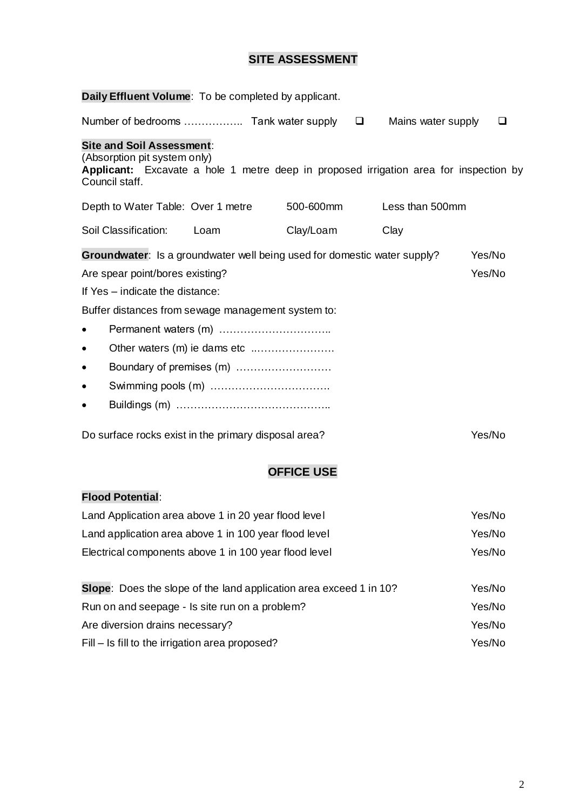# **SITE ASSESSMENT**

| Daily Effluent Volume: To be completed by applicant.                                                                                                                               |      |           |                    |        |  |  |
|------------------------------------------------------------------------------------------------------------------------------------------------------------------------------------|------|-----------|--------------------|--------|--|--|
|                                                                                                                                                                                    |      |           | Mains water supply | ◻      |  |  |
| <b>Site and Soil Assessment:</b><br>(Absorption pit system only)<br><b>Applicant:</b> Excavate a hole 1 metre deep in proposed irrigation area for inspection by<br>Council staff. |      |           |                    |        |  |  |
| Depth to Water Table: Over 1 metre                                                                                                                                                 |      | 500-600mm | Less than 500mm    |        |  |  |
| Soil Classification:                                                                                                                                                               | Loam | Clay/Loam | Clay               |        |  |  |
| <b>Groundwater:</b> Is a groundwater well being used for domestic water supply?                                                                                                    |      |           |                    | Yes/No |  |  |
| Are spear point/bores existing?                                                                                                                                                    |      |           |                    | Yes/No |  |  |
| If Yes - indicate the distance:                                                                                                                                                    |      |           |                    |        |  |  |
| Buffer distances from sewage management system to:                                                                                                                                 |      |           |                    |        |  |  |
|                                                                                                                                                                                    |      |           |                    |        |  |  |
| Other waters (m) ie dams etc<br>$\bullet$                                                                                                                                          |      |           |                    |        |  |  |
| $\bullet$                                                                                                                                                                          |      |           |                    |        |  |  |
| ٠                                                                                                                                                                                  |      |           |                    |        |  |  |
| $\bullet$                                                                                                                                                                          |      |           |                    |        |  |  |
| Do surface rocks exist in the primary disposal area?                                                                                                                               |      |           |                    | Yes/No |  |  |

# **OFFICE USE**

# **Flood Potential**:

| Land Application area above 1 in 20 year flood level               | Yes/No |
|--------------------------------------------------------------------|--------|
| Land application area above 1 in 100 year flood level              | Yes/No |
| Electrical components above 1 in 100 year flood level              | Yes/No |
|                                                                    |        |
| Slope: Does the slope of the land application area exceed 1 in 10? | Yes/No |
| Run on and seepage - Is site run on a problem?                     | Yes/No |
| Are diversion drains necessary?                                    | Yes/No |
| Fill – Is fill to the irrigation area proposed?                    | Yes/No |